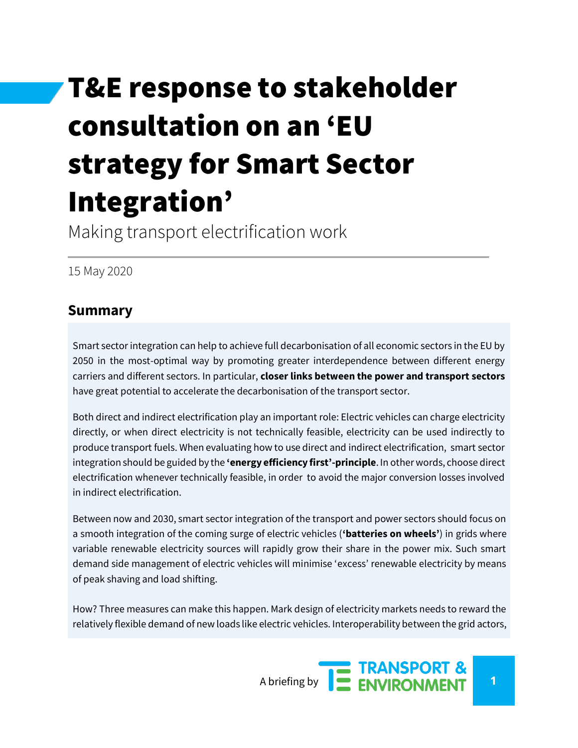# T&E response to stakeholder consultation on an 'EU strategy for Smart Sector Integration'

Making transport electrification work

15 May 2020

## **Summary**

Smart sector integration can help to achieve full decarbonisation of all economic sectors in the EU by 2050 in the most-optimal way by promoting greater interdependence between different energy carriers and different sectors. In particular, **closer links between the power and transport sectors**  have great potential to accelerate the decarbonisation of the transport sector.

Both direct and indirect electrification play an important role: Electric vehicles can charge electricity directly, or when direct electricity is not technically feasible, electricity can be used indirectly to produce transport fuels. When evaluating how to use direct and indirect electrification, smart sector integration should be guided by the **'energy efficiency first'-principle**. In other words, choose direct electrification whenever technically feasible, in order to avoid the major conversion losses involved in indirect electrification.

Between now and 2030, smart sector integration of the transport and power sectors should focus on a smooth integration of the coming surge of electric vehicles (**'batteries on wheels'**) in grids where variable renewable electricity sources will rapidly grow their share in the power mix. Such smart demand side management of electric vehicles will minimise 'excess' renewable electricity by means of peak shaving and load shifting.

How? Three measures can make this happen. Mark design of electricity markets needs to reward the relatively flexible demand of new loads like electric vehicles. Interoperability between the grid actors,

A briefing by **1 1 ENVIRONMENT**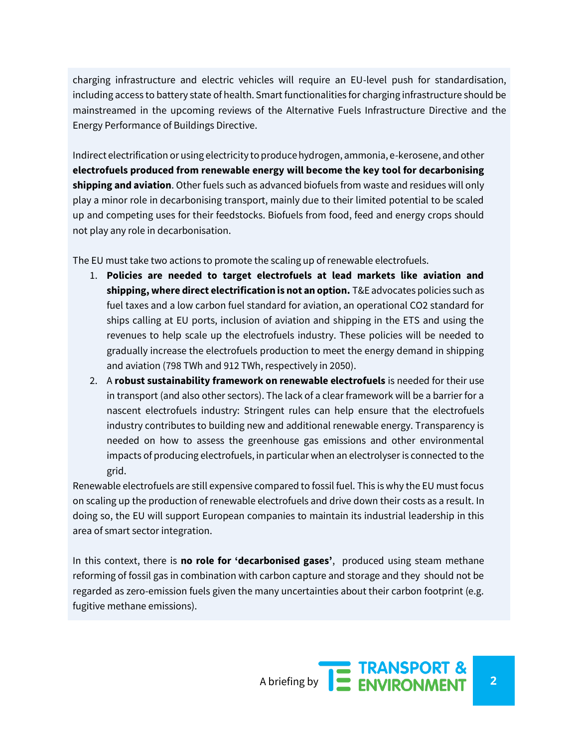charging infrastructure and electric vehicles will require an EU-level push for standardisation, including access to battery state of health. Smart functionalities for charging infrastructure should be mainstreamed in the upcoming reviews of the Alternative Fuels Infrastructure Directive and the Energy Performance of Buildings Directive.

Indirect electrification or using electricity to produce hydrogen, ammonia, e-kerosene, and other **electrofuels produced from renewable energy will become the key tool for decarbonising shipping and aviation**. Other fuels such as advanced biofuels from waste and residues will only play a minor role in decarbonising transport, mainly due to their limited potential to be scaled up and competing uses for their feedstocks. Biofuels from food, feed and energy crops should not play any role in decarbonisation.

The EU must take two actions to promote the scaling up of renewable electrofuels.

- 1. **Policies are needed to target electrofuels at lead markets like aviation and shipping, where direct electrification is not an option.** T&E advocates policies such as fuel taxes and a low carbon fuel standard for aviation, an operational CO2 standard for ships calling at EU ports, inclusion of aviation and shipping in the ETS and using the revenues to help scale up the electrofuels industry. These policies will be needed to gradually increase the electrofuels production to meet the energy demand in shipping and aviation (798 TWh and 912 TWh, respectively in 2050).
- 2. A **robust sustainability framework on renewable electrofuels** is needed for their use in transport (and also other sectors). The lack of a clear framework will be a barrier for a nascent electrofuels industry: Stringent rules can help ensure that the electrofuels industry contributes to building new and additional renewable energy. Transparency is needed on how to assess the greenhouse gas emissions and other environmental impacts of producing electrofuels, in particular when an electrolyser is connected to the grid.

Renewable electrofuels are still expensive compared to fossil fuel. This is why the EU must focus on scaling up the production of renewable electrofuels and drive down their costs as a result. In doing so, the EU will support European companies to maintain its industrial leadership in this area of smart sector integration.

In this context, there is **no role for 'decarbonised gases'**, produced using steam methane reforming of fossil gas in combination with carbon capture and storage and they should not be regarded as zero-emission fuels given the many uncertainties about their carbon footprint (e.g. fugitive methane emissions).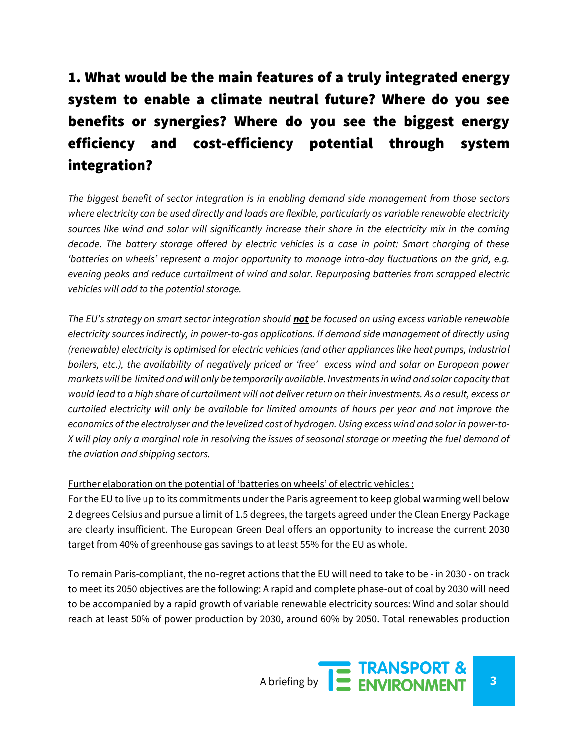# 1. What would be the main features of a truly integrated energy system to enable a climate neutral future? Where do you see benefits or synergies? Where do you see the biggest energy efficiency and cost-efficiency potential through system integration?

*The biggest benefit of sector integration is in enabling demand side management from those sectors where electricity can be used directly and loads are flexible, particularly as variable renewable electricity sources like wind and solar will significantly increase their share in the electricity mix in the coming decade. The battery storage offered by electric vehicles is a case in point: Smart charging of these 'batteries on wheels' represent a major opportunity to manage intra-day fluctuations on the grid, e.g. evening peaks and reduce curtailment of wind and solar. Repurposing batteries from scrapped electric vehicles will add to the potential storage.*

*The EU's strategy on smart sector integration should not be focused on using excess variable renewable electricity sources indirectly, in power-to-gas applications. If demand side management of directly using (renewable) electricity is optimised for electric vehicles (and other appliances like heat pumps, industrial boilers, etc.), the availability of negatively priced or 'free' excess wind and solar on European power markets will be limited and will only be temporarily available. Investments in wind and solar capacity that would lead to a high share of curtailment will not deliver return on their investments. As a result, excess or curtailed electricity will only be available for limited amounts of hours per year and not improve the economics of the electrolyser and the levelized cost of hydrogen. Using excess wind and solar in power-to-X will play only a marginal role in resolving the issues of seasonal storage or meeting the fuel demand of the aviation and shipping sectors.* 

#### Further elaboration on the potential of 'batteries on wheels' of electric vehicles :

For the EU to live up to its commitments under the Paris agreement to keep global warming well below 2 degrees Celsius and pursue a limit of 1.5 degrees, the targets agreed under the Clean Energy Package are clearly insufficient. The European Green Deal offers an opportunity to increase the current 2030 target from 40% of greenhouse gas savings to at least 55% for the EU as whole.

To remain Paris-compliant, the no-regret actions that the EU will need to take to be - in 2030 - on track to meet its 2050 objectives are the following: A rapid and complete phase-out of coal by 2030 will need to be accompanied by a rapid growth of variable renewable electricity sources: Wind and solar should reach at least 50% of power production by 2030, around 60% by 2050. Total renewables production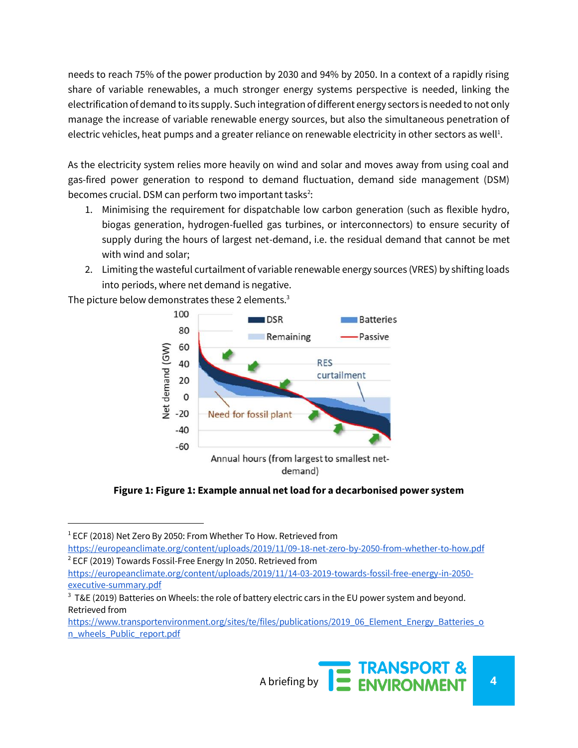needs to reach 75% of the power production by 2030 and 94% by 2050. In a context of a rapidly rising share of variable renewables, a much stronger energy systems perspective is needed, linking the electrification of demand to its supply. Such integration of different energy sectors is needed to not only manage the increase of variable renewable energy sources, but also the simultaneous penetration of electric vehicles, heat pumps and a greater reliance on renewable electricity in other sectors as well<sup>1</sup>.

As the electricity system relies more heavily on wind and solar and moves away from using coal and gas-fired power generation to respond to demand fluctuation, demand side management (DSM) becomes crucial. DSM can perform two important tasks<sup>2</sup>:

- 1. Minimising the requirement for dispatchable low carbon generation (such as flexible hydro, biogas generation, hydrogen-fuelled gas turbines, or interconnectors) to ensure security of supply during the hours of largest net-demand, i.e. the residual demand that cannot be met with wind and solar;
- 2. Limiting the wasteful curtailment of variable renewable energy sources (VRES) by shifting loads into periods, where net demand is negative.

The picture below demonstrates these 2 elements.<sup>3</sup>



**Figure 1: Figure 1: Example annual net load for a decarbonised power system**

<https://europeanclimate.org/content/uploads/2019/11/09-18-net-zero-by-2050-from-whether-to-how.pdf>  $2$  ECF (2019) Towards Fossil-Free Energy In 2050. Retrieved from

 $1$  ECF (2018) Net Zero By 2050: From Whether To How. Retrieved from

[https://europeanclimate.org/content/uploads/2019/11/14-03-2019-towards-fossil-free-energy-in-2050](https://europeanclimate.org/content/uploads/2019/11/14-03-2019-towards-fossil-free-energy-in-2050-executive-summary.pdf) [executive-summary.pdf](https://europeanclimate.org/content/uploads/2019/11/14-03-2019-towards-fossil-free-energy-in-2050-executive-summary.pdf)

 $3$  T&E (2019) Batteries on Wheels: the role of battery electric cars in the EU power system and beyond. Retrieved from

[https://www.transportenvironment.org/sites/te/files/publications/2019\\_06\\_Element\\_Energy\\_Batteries\\_o](https://www.transportenvironment.org/sites/te/files/publications/2019_06_Element_Energy_Batteries_on_wheels_Public_report.pdf) [n\\_wheels\\_Public\\_report.pdf](https://www.transportenvironment.org/sites/te/files/publications/2019_06_Element_Energy_Batteries_on_wheels_Public_report.pdf)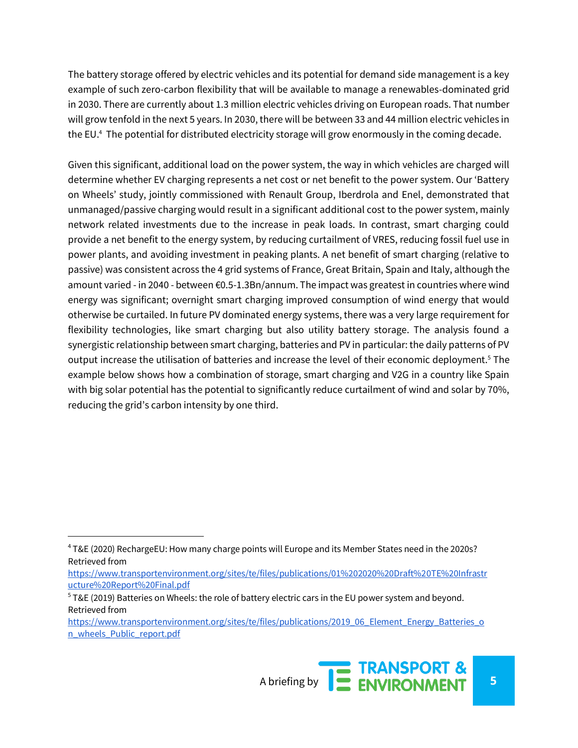The battery storage offered by electric vehicles and its potential for demand side management is a key example of such zero-carbon flexibility that will be available to manage a renewables-dominated grid in 2030. There are currently about 1.3 million electric vehicles driving on European roads. That number will grow tenfold in the next 5 years. In 2030, there will be between 33 and 44 million electric vehicles in the EU.<sup>4</sup> The potential for distributed electricity storage will grow enormously in the coming decade.

Given this significant, additional load on the power system, the way in which vehicles are charged will determine whether EV charging represents a net cost or net benefit to the power system. Our 'Battery on Wheels' study, jointly commissioned with Renault Group, Iberdrola and Enel, demonstrated that unmanaged/passive charging would result in a significant additional cost to the power system, mainly network related investments due to the increase in peak loads. In contrast, smart charging could provide a net benefit to the energy system, by reducing curtailment of VRES, reducing fossil fuel use in power plants, and avoiding investment in peaking plants. A net benefit of smart charging (relative to passive) was consistent across the 4 grid systems of France, Great Britain, Spain and Italy, although the amount varied - in 2040 - between €0.5-1.3Bn/annum. The impact was greatest in countries where wind energy was significant; overnight smart charging improved consumption of wind energy that would otherwise be curtailed. In future PV dominated energy systems, there was a very large requirement for flexibility technologies, like smart charging but also utility battery storage. The analysis found a synergistic relationship between smart charging, batteries and PV in particular: the daily patterns of PV output increase the utilisation of batteries and increase the level of their economic deployment.<sup>5</sup> The example below shows how a combination of storage, smart charging and V2G in a country like Spain with big solar potential has the potential to significantly reduce curtailment of wind and solar by 70%, reducing the grid's carbon intensity by one third.

l

<sup>&</sup>lt;sup>4</sup> T&E (2020) RechargeEU: How many charge points will Europe and its Member States need in the 2020s? Retrieved from

[https://www.transportenvironment.org/sites/te/files/publications/01%202020%20Draft%20TE%20Infrastr](https://www.transportenvironment.org/sites/te/files/publications/01%202020%20Draft%20TE%20Infrastructure%20Report%20Final.pdf) [ucture%20Report%20Final.pdf](https://www.transportenvironment.org/sites/te/files/publications/01%202020%20Draft%20TE%20Infrastructure%20Report%20Final.pdf)

 $5$  T&E (2019) Batteries on Wheels: the role of battery electric cars in the EU power system and beyond. Retrieved from

[https://www.transportenvironment.org/sites/te/files/publications/2019\\_06\\_Element\\_Energy\\_Batteries\\_o](https://www.transportenvironment.org/sites/te/files/publications/2019_06_Element_Energy_Batteries_on_wheels_Public_report.pdf) [n\\_wheels\\_Public\\_report.pdf](https://www.transportenvironment.org/sites/te/files/publications/2019_06_Element_Energy_Batteries_on_wheels_Public_report.pdf)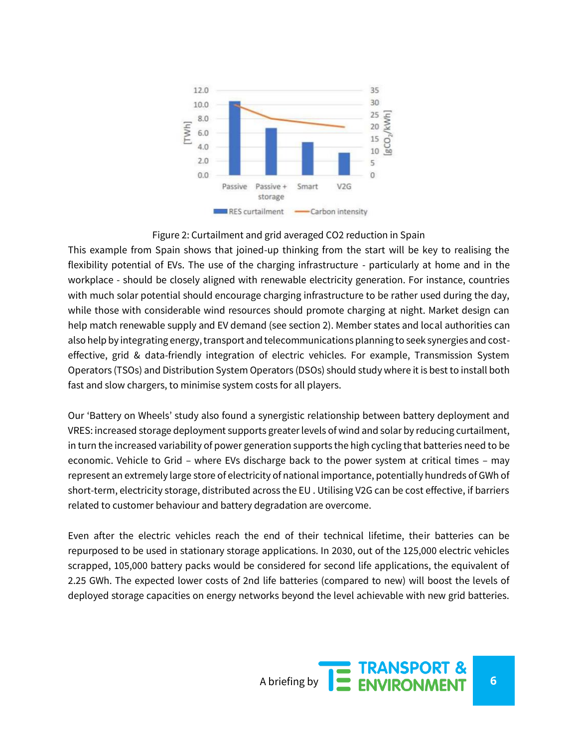

#### Figure 2: Curtailment and grid averaged CO2 reduction in Spain

This example from Spain shows that joined-up thinking from the start will be key to realising the flexibility potential of EVs. The use of the charging infrastructure - particularly at home and in the workplace - should be closely aligned with renewable electricity generation. For instance, countries with much solar potential should encourage charging infrastructure to be rather used during the day, while those with considerable wind resources should promote charging at night. Market design can help match renewable supply and EV demand (see section 2). Member states and local authorities can also help by integrating energy, transport and telecommunications planning to seek synergies and costeffective, grid & data-friendly integration of electric vehicles. For example, Transmission System Operators (TSOs) and Distribution System Operators (DSOs) should study where it is best to install both fast and slow chargers, to minimise system costs for all players.

Our 'Battery on Wheels' study also found a synergistic relationship between battery deployment and VRES: increased storage deployment supports greater levels of wind and solar by reducing curtailment, in turn the increased variability of power generation supports the high cycling that batteries need to be economic. Vehicle to Grid – where EVs discharge back to the power system at critical times – may represent an extremely large store of electricity of national importance, potentially hundreds of GWh of short-term, electricity storage, distributed across the EU . Utilising V2G can be cost effective, if barriers related to customer behaviour and battery degradation are overcome.

Even after the electric vehicles reach the end of their technical lifetime, their batteries can be repurposed to be used in stationary storage applications. In 2030, out of the 125,000 electric vehicles scrapped, 105,000 battery packs would be considered for second life applications, the equivalent of 2.25 GWh. The expected lower costs of 2nd life batteries (compared to new) will boost the levels of deployed storage capacities on energy networks beyond the level achievable with new grid batteries.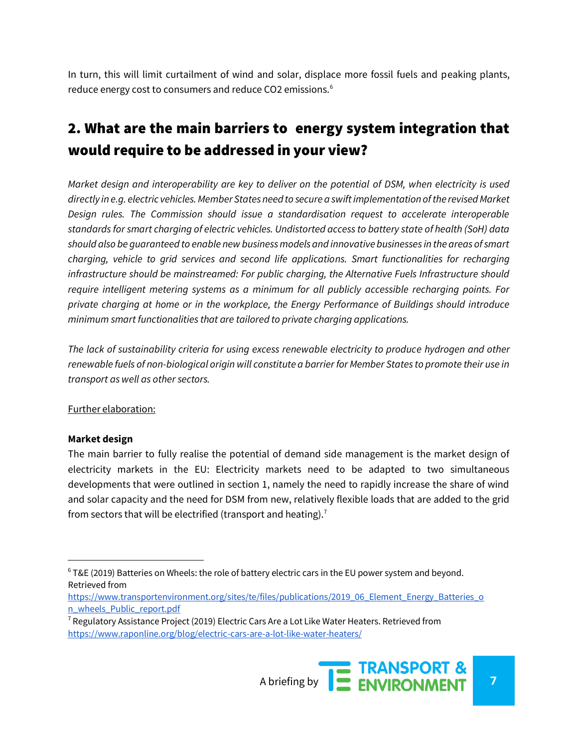In turn, this will limit curtailment of wind and solar, displace more fossil fuels and peaking plants, reduce energy cost to consumers and reduce CO2 emissions.<sup>6</sup>

# 2. What are the main barriers to energy system integration that would require to be addressed in your view?

*Market design and interoperability are key to deliver on the potential of DSM, when electricity is used directly in e.g. electric vehicles. Member States need to secure a swift implementation of the revised Market Design rules. The Commission should issue a standardisation request to accelerate interoperable standards for smart charging of electric vehicles. Undistorted access to battery state of health (SoH) data should also be guaranteed to enable new business models and innovative businesses in the areas of smart charging, vehicle to grid services and second life applications. Smart functionalities for recharging infrastructure should be mainstreamed: For public charging, the Alternative Fuels Infrastructure should require intelligent metering systems as a minimum for all publicly accessible recharging points. For private charging at home or in the workplace, the Energy Performance of Buildings should introduce minimum smart functionalities that are tailored to private charging applications.*

*The lack of sustainability criteria for using excess renewable electricity to produce hydrogen and other renewable fuels of non-biological origin will constitute a barrier for Member States to promote their use in transport as well as other sectors.* 

#### Further elaboration:

#### **Market design**

The main barrier to fully realise the potential of demand side management is the market design of electricity markets in the EU: Electricity markets need to be adapted to two simultaneous developments that were outlined in section 1, namely the need to rapidly increase the share of wind and solar capacity and the need for DSM from new, relatively flexible loads that are added to the grid from sectors that will be electrified (transport and heating).<sup>7</sup>

 $6$  T&E (2019) Batteries on Wheels: the role of battery electric cars in the EU power system and beyond. Retrieved from

[https://www.transportenvironment.org/sites/te/files/publications/2019\\_06\\_Element\\_Energy\\_Batteries\\_o](https://www.transportenvironment.org/sites/te/files/publications/2019_06_Element_Energy_Batteries_on_wheels_Public_report.pdf) [n\\_wheels\\_Public\\_report.pdf](https://www.transportenvironment.org/sites/te/files/publications/2019_06_Element_Energy_Batteries_on_wheels_Public_report.pdf)

 $7$  Regulatory Assistance Project (2019) Electric Cars Are a Lot Like Water Heaters. Retrieved from <https://www.raponline.org/blog/electric-cars-are-a-lot-like-water-heaters/>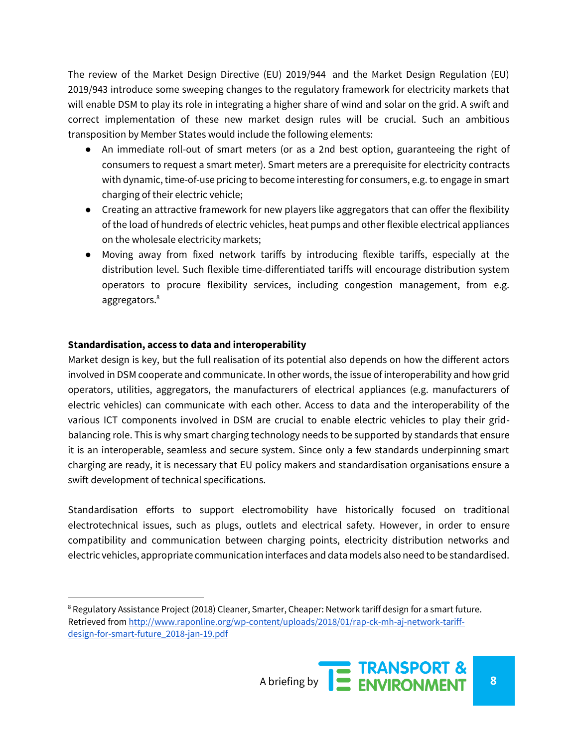The review of the Market Design Directive (EU) 2019/944 and the Market Design Regulation (EU) 2019/943 introduce some sweeping changes to the regulatory framework for electricity markets that will enable DSM to play its role in integrating a higher share of wind and solar on the grid. A swift and correct implementation of these new market design rules will be crucial. Such an ambitious transposition by Member States would include the following elements:

- An immediate roll-out of smart meters (or as a 2nd best option, guaranteeing the right of consumers to request a smart meter). Smart meters are a prerequisite for electricity contracts with dynamic, time-of-use pricing to become interesting for consumers, e.g. to engage in smart charging of their electric vehicle;
- Creating an attractive framework for new players like aggregators that can offer the flexibility of the load of hundreds of electric vehicles, heat pumps and other flexible electrical appliances on the wholesale electricity markets;
- Moving away from fixed network tariffs by introducing flexible tariffs, especially at the distribution level. Such flexible time-differentiated tariffs will encourage distribution system operators to procure flexibility services, including congestion management, from e.g. aggregators.<sup>8</sup>

#### **Standardisation, access to data and interoperability**

l

Market design is key, but the full realisation of its potential also depends on how the different actors involved in DSM cooperate and communicate. In other words, the issue of interoperability and how grid operators, utilities, aggregators, the manufacturers of electrical appliances (e.g. manufacturers of electric vehicles) can communicate with each other. Access to data and the interoperability of the various ICT components involved in DSM are crucial to enable electric vehicles to play their gridbalancing role. This is why smart charging technology needs to be supported by standards that ensure it is an interoperable, seamless and secure system. Since only a few standards underpinning smart charging are ready, it is necessary that EU policy makers and standardisation organisations ensure a swift development of technical specifications.

Standardisation efforts to support electromobility have historically focused on traditional electrotechnical issues, such as plugs, outlets and electrical safety. However, in order to ensure compatibility and communication between charging points, electricity distribution networks and electric vehicles, appropriate communication interfaces and data models also need to be standardised.

<sup>&</sup>lt;sup>8</sup> Regulatory Assistance Project (2018) Cleaner, Smarter, Cheaper: Network tariff design for a smart future. Retrieved fro[m http://www.raponline.org/wp-content/uploads/2018/01/rap-ck-mh-aj-network-tariff](http://www.raponline.org/wp-content/uploads/2018/01/rap-ck-mh-aj-network-tariff-design-for-smart-future_2018-jan-19.pdf)[design-for-smart-future\\_2018-jan-19.pdf](http://www.raponline.org/wp-content/uploads/2018/01/rap-ck-mh-aj-network-tariff-design-for-smart-future_2018-jan-19.pdf)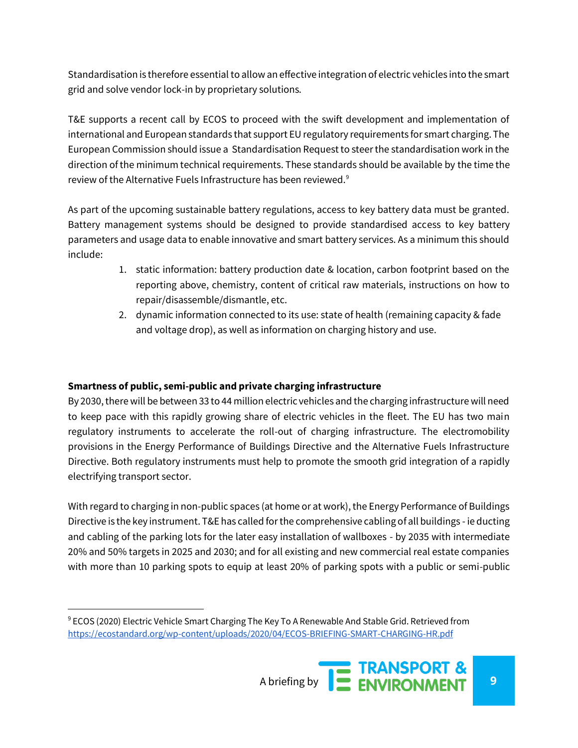Standardisation is therefore essential to allow an effective integration of electric vehicles into the smart grid and solve vendor lock-in by proprietary solutions.

T&E supports a recent call by ECOS to proceed with the swift development and implementation of international and European standards that support EU regulatory requirements for smart charging. The European Commission should issue a Standardisation Request to steer the standardisation work in the direction of the minimum technical requirements. These standards should be available by the time the review of the Alternative Fuels Infrastructure has been reviewed.<sup>9</sup>

As part of the upcoming sustainable battery regulations, access to key battery data must be granted. Battery management systems should be designed to provide standardised access to key battery parameters and usage data to enable innovative and smart battery services. As a minimum this should include:

- 1. static information: battery production date & location, carbon footprint based on the reporting above, chemistry, content of critical raw materials, instructions on how to repair/disassemble/dismantle, etc.
- 2. dynamic information connected to its use: state of health (remaining capacity & fade and voltage drop), as well as information on charging history and use.

## **Smartness of public, semi-public and private charging infrastructure**

l

By 2030, there will be between 33 to 44 million electric vehicles and the charging infrastructure will need to keep pace with this rapidly growing share of electric vehicles in the fleet. The EU has two main regulatory instruments to accelerate the roll-out of charging infrastructure. The electromobility provisions in the Energy Performance of Buildings Directive and the Alternative Fuels Infrastructure Directive. Both regulatory instruments must help to promote the smooth grid integration of a rapidly electrifying transport sector.

With regard to charging in non-public spaces (at home or at work), the Energy Performance of Buildings Directive is the key instrument. T&E has called for the comprehensive cabling of all buildings - ie ducting and cabling of the parking lots for the later easy installation of wallboxes - by 2035 with intermediate 20% and 50% targets in 2025 and 2030; and for all existing and new commercial real estate companies with more than 10 parking spots to equip at least 20% of parking spots with a public or semi-public

 $^9$  ECOS (2020) Electric Vehicle Smart Charging The Key To A Renewable And Stable Grid. Retrieved from <https://ecostandard.org/wp-content/uploads/2020/04/ECOS-BRIEFING-SMART-CHARGING-HR.pdf>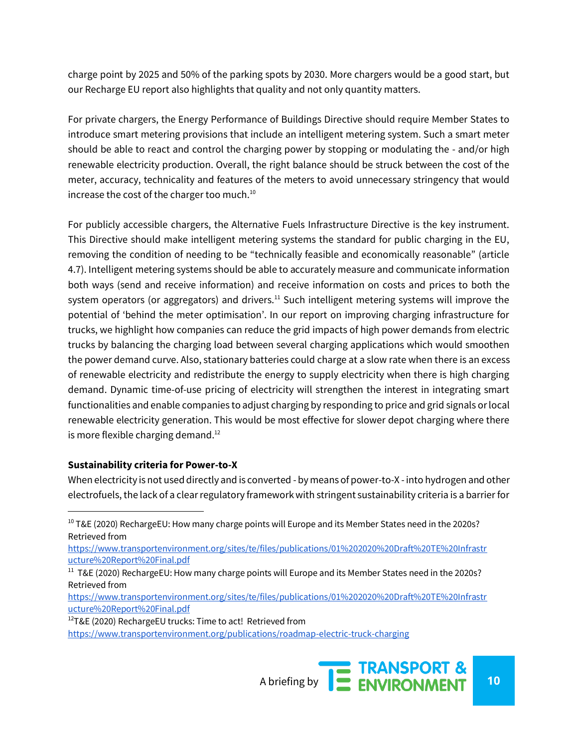charge point by 2025 and 50% of the parking spots by 2030. More chargers would be a good start, but our Recharge EU report also highlights that quality and not only quantity matters.

For private chargers, the Energy Performance of Buildings Directive should require Member States to introduce smart metering provisions that include an intelligent metering system. Such a smart meter should be able to react and control the charging power by stopping or modulating the - and/or high renewable electricity production. Overall, the right balance should be struck between the cost of the meter, accuracy, technicality and features of the meters to avoid unnecessary stringency that would increase the cost of the charger too much.<sup>10</sup>

For publicly accessible chargers, the Alternative Fuels Infrastructure Directive is the key instrument. This Directive should make intelligent metering systems the standard for public charging in the EU, removing the condition of needing to be "technically feasible and economically reasonable" (article 4.7). Intelligent metering systems should be able to accurately measure and communicate information both ways (send and receive information) and receive information on costs and prices to both the system operators (or aggregators) and drivers.<sup>11</sup> Such intelligent metering systems will improve the potential of 'behind the meter optimisation'. In our report on improving charging infrastructure for trucks, we highlight how companies can reduce the grid impacts of high power demands from electric trucks by balancing the charging load between several charging applications which would smoothen the power demand curve. Also, stationary batteries could charge at a slow rate when there is an excess of renewable electricity and redistribute the energy to supply electricity when there is high charging demand. Dynamic time-of-use pricing of electricity will strengthen the interest in integrating smart functionalities and enable companies to adjust charging by responding to price and grid signals or local renewable electricity generation. This would be most effective for slower depot charging where there is more flexible charging demand. $12$ 

## **Sustainability criteria for Power-to-X**

When electricity is not used directly and is converted - by means of power-to-X - into hydrogen and other electrofuels, the lack of a clear regulatory framework with stringent sustainability criteria is a barrier for

[https://www.transportenvironment.org/sites/te/files/publications/01%202020%20Draft%20TE%20Infrastr](https://www.transportenvironment.org/sites/te/files/publications/01%202020%20Draft%20TE%20Infrastructure%20Report%20Final.pdf) [ucture%20Report%20Final.pdf](https://www.transportenvironment.org/sites/te/files/publications/01%202020%20Draft%20TE%20Infrastructure%20Report%20Final.pdf)

<sup>12</sup>T&E (2020) RechargeEU trucks: Time to act! Retrieved from

 $10$  T&E (2020) RechargeEU: How many charge points will Europe and its Member States need in the 2020s? Retrieved from

<sup>&</sup>lt;sup>11</sup> T&E (2020) RechargeEU: How many charge points will Europe and its Member States need in the 2020s? Retrieved from

[https://www.transportenvironment.org/sites/te/files/publications/01%202020%20Draft%20TE%20Infrastr](https://www.transportenvironment.org/sites/te/files/publications/01%202020%20Draft%20TE%20Infrastructure%20Report%20Final.pdf) [ucture%20Report%20Final.pdf](https://www.transportenvironment.org/sites/te/files/publications/01%202020%20Draft%20TE%20Infrastructure%20Report%20Final.pdf)

<https://www.transportenvironment.org/publications/roadmap-electric-truck-charging>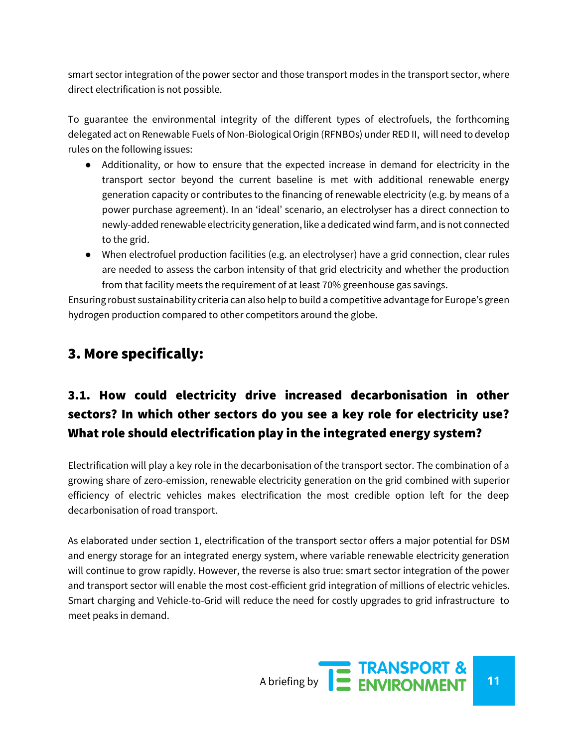smart sector integration of the power sector and those transport modes in the transport sector, where direct electrification is not possible.

To guarantee the environmental integrity of the different types of electrofuels, the forthcoming delegated act on Renewable Fuels of Non-Biological Origin (RFNBOs) under RED II, will need to develop rules on the following issues:

- Additionality, or how to ensure that the expected increase in demand for electricity in the transport sector beyond the current baseline is met with additional renewable energy generation capacity or contributes to the financing of renewable electricity (e.g. by means of a power purchase agreement). In an 'ideal' scenario, an electrolyser has a direct connection to newly-added renewable electricity generation, like a dedicated wind farm, and is not connected to the grid.
- When electrofuel production facilities (e.g. an electrolyser) have a grid connection, clear rules are needed to assess the carbon intensity of that grid electricity and whether the production from that facility meets the requirement of at least 70% greenhouse gas savings.

Ensuring robust sustainability criteria can also help to build a competitive advantage for Europe's green hydrogen production compared to other competitors around the globe.

# 3. More specifically:

# 3.1. How could electricity drive increased decarbonisation in other sectors? In which other sectors do you see a key role for electricity use? What role should electrification play in the integrated energy system?

Electrification will play a key role in the decarbonisation of the transport sector. The combination of a growing share of zero-emission, renewable electricity generation on the grid combined with superior efficiency of electric vehicles makes electrification the most credible option left for the deep decarbonisation of road transport.

As elaborated under section 1, electrification of the transport sector offers a major potential for DSM and energy storage for an integrated energy system, where variable renewable electricity generation will continue to grow rapidly. However, the reverse is also true: smart sector integration of the power and transport sector will enable the most cost-efficient grid integration of millions of electric vehicles. Smart charging and Vehicle-to-Grid will reduce the need for costly upgrades to grid infrastructure to meet peaks in demand.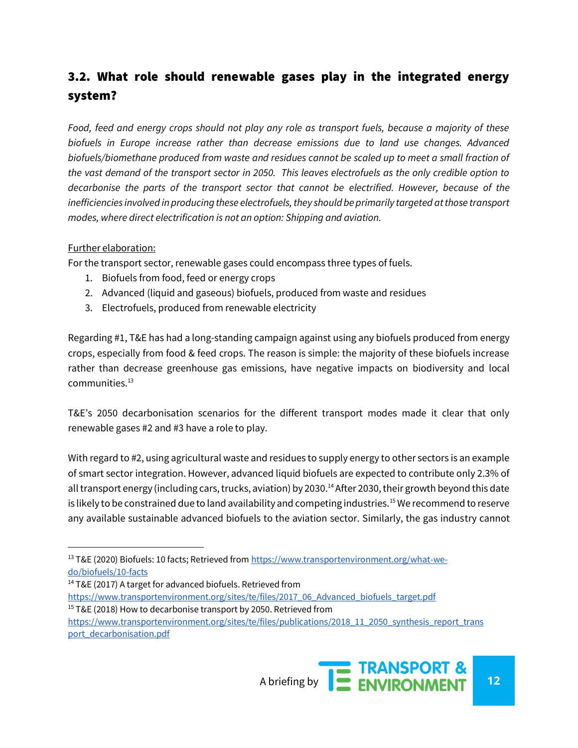# 3.2. What role should renewable gases play in the integrated energy system?

*Food, feed and energy crops should not play any role as transport fuels, because a majority of these biofuels in Europe increase rather than decrease emissions due to land use changes. Advanced biofuels/biomethane produced from waste and residues cannot be scaled up to meet a small fraction of the vast demand of the transport sector in 2050. This leaves electrofuels as the only credible option to decarbonise the parts of the transport sector that cannot be electrified. However, because of the inefficiencies involved in producing these electrofuels, they should be primarily targeted at those transport modes, where direct electrification is not an option: Shipping and aviation.*

#### Further elaboration:

l

For the transport sector, renewable gases could encompass three types of fuels.

- 1. Biofuels from food, feed or energy crops
- 2. Advanced (liquid and gaseous) biofuels, produced from waste and residues
- 3. Electrofuels, produced from renewable electricity

Regarding #1, T&E has had a long-standing campaign against using any biofuels produced from energy crops, especially from food & feed crops. The reason is simple: the majority of these biofuels increase rather than decrease greenhouse gas emissions, have negative impacts on biodiversity and local communities.<sup>13</sup>

T&E's 2050 decarbonisation scenarios for the different transport modes made it clear that only renewable gases #2 and #3 have a role to play.

With regard to #2, using agricultural waste and residues to supply energy to other sectors is an example of smart sector integration. However, advanced liquid biofuels are expected to contribute only 2.3% of all transport energy (including cars, trucks, aviation) by 2030.<sup>14</sup> After 2030, their growth beyond this date is likely to be constrained due to land availability and competing industries.<sup>15</sup> We recommend to reserve any available sustainable advanced biofuels to the aviation sector. Similarly, the gas industry cannot

[https://www.transportenvironment.org/sites/te/files/2017\\_06\\_Advanced\\_biofuels\\_target.pdf](https://www.transportenvironment.org/sites/te/files/2017_06_Advanced_biofuels_target.pdf)  $15$  T&E (2018) How to decarbonise transport by 2050. Retrieved from

<sup>&</sup>lt;sup>13</sup> T&E (2020) Biofuels: 10 facts; Retrieved fro[m https://www.transportenvironment.org/what-we](https://www.transportenvironment.org/what-we-do/biofuels/10-facts)[do/biofuels/10-facts](https://www.transportenvironment.org/what-we-do/biofuels/10-facts)

<sup>&</sup>lt;sup>14</sup> T&E (2017) A target for advanced biofuels. Retrieved from

[https://www.transportenvironment.org/sites/te/files/publications/2018\\_11\\_2050\\_synthesis\\_report\\_trans](https://www.transportenvironment.org/sites/te/files/publications/2018_11_2050_synthesis_report_transport_decarbonisation.pdf) [port\\_decarbonisation.pdf](https://www.transportenvironment.org/sites/te/files/publications/2018_11_2050_synthesis_report_transport_decarbonisation.pdf)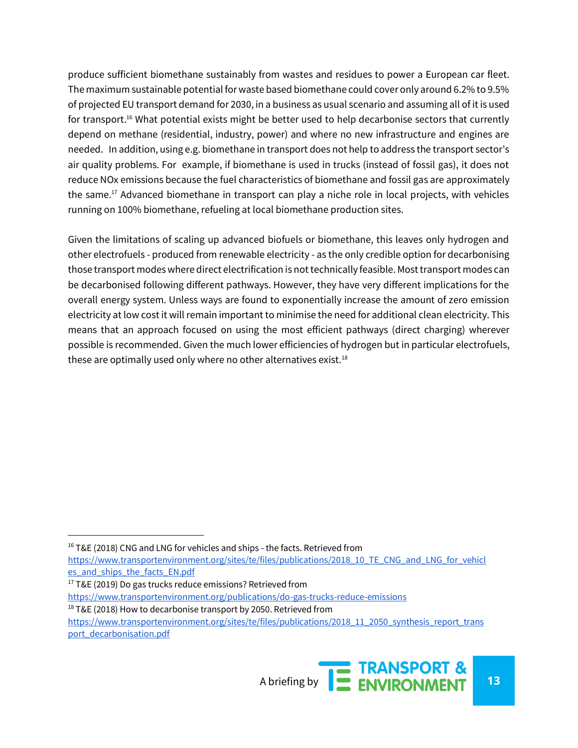produce sufficient biomethane sustainably from wastes and residues to power a European car fleet. The maximum sustainable potential for waste based biomethane could cover only around 6.2% to 9.5% of projected EU transport demand for 2030, in a business as usual scenario and assuming all of it is used for transport.<sup>16</sup> What potential exists might be better used to help decarbonise sectors that currently depend on methane (residential, industry, power) and where no new infrastructure and engines are needed. In addition, using e.g. biomethane in transport does not help to address the transport sector's air quality problems. For example, if biomethane is used in trucks (instead of fossil gas), it does not reduce NOx emissions because the fuel characteristics of biomethane and fossil gas are approximately the same.<sup>17</sup> Advanced biomethane in transport can play a niche role in local projects, with vehicles running on 100% biomethane, refueling at local biomethane production sites.

Given the limitations of scaling up advanced biofuels or biomethane, this leaves only hydrogen and other electrofuels - produced from renewable electricity - as the only credible option for decarbonising those transport modes where direct electrification is not technically feasible. Most transport modes can be decarbonised following different pathways. However, they have very different implications for the overall energy system. Unless ways are found to exponentially increase the amount of zero emission electricity at low cost it will remain important to minimise the need for additional clean electricity. This means that an approach focused on using the most efficient pathways (direct charging) wherever possible is recommended. Given the much lower efficiencies of hydrogen but in particular electrofuels, these are optimally used only where no other alternatives exist. $18$ 

l

<sup>&</sup>lt;sup>16</sup> T&E (2018) CNG and LNG for vehicles and ships - the facts. Retrieved from

[https://www.transportenvironment.org/sites/te/files/publications/2018\\_10\\_TE\\_CNG\\_and\\_LNG\\_for\\_vehicl](https://www.transportenvironment.org/sites/te/files/publications/2018_10_TE_CNG_and_LNG_for_vehicles_and_ships_the_facts_EN.pdf) [es\\_and\\_ships\\_the\\_facts\\_EN.pdf](https://www.transportenvironment.org/sites/te/files/publications/2018_10_TE_CNG_and_LNG_for_vehicles_and_ships_the_facts_EN.pdf)

 $17$  T&E (2019) Do gas trucks reduce emissions? Retrieved from

<https://www.transportenvironment.org/publications/do-gas-trucks-reduce-emissions>

 $18$  T&E (2018) How to decarbonise transport by 2050. Retrieved from

[https://www.transportenvironment.org/sites/te/files/publications/2018\\_11\\_2050\\_synthesis\\_report\\_trans](https://www.transportenvironment.org/sites/te/files/publications/2018_11_2050_synthesis_report_transport_decarbonisation.pdf) [port\\_decarbonisation.pdf](https://www.transportenvironment.org/sites/te/files/publications/2018_11_2050_synthesis_report_transport_decarbonisation.pdf)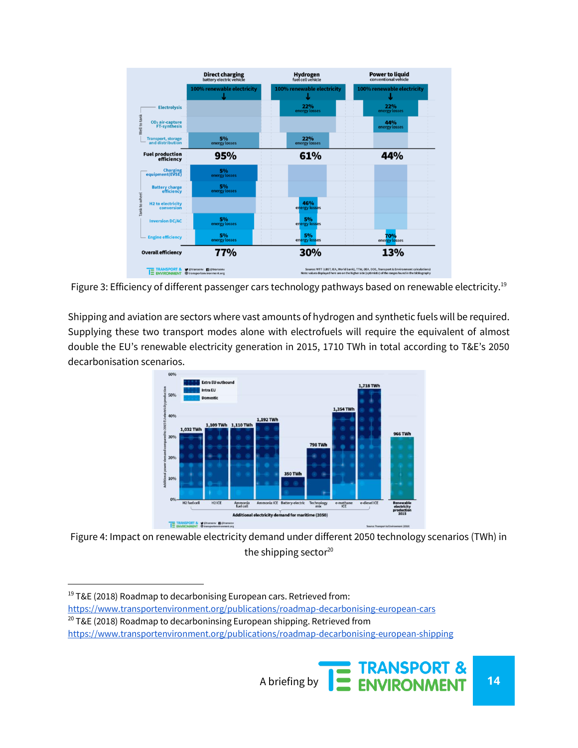

Figure 3: Efficiency of different passenger cars technology pathways based on renewable electricity.<sup>19</sup>

Shipping and aviation are sectors where vast amounts of hydrogen and synthetic fuels will be required. Supplying these two transport modes alone with electrofuels will require the equivalent of almost double the EU's renewable electricity generation in 2015, 1710 TWh in total according to T&E's 2050 decarbonisation scenarios.



Figure 4: Impact on renewable electricity demand under different 2050 technology scenarios (TWh) in the shipping sector $20$ 

<https://www.transportenvironment.org/publications/roadmap-decarbonising-european-cars>

<sup>20</sup> T&E (2018) Roadmap to decarboninsing European shipping. Retrieved from

<sup>&</sup>lt;sup>19</sup> T&E (2018) Roadmap to decarbonising European cars. Retrieved from:

<https://www.transportenvironment.org/publications/roadmap-decarbonising-european-shipping>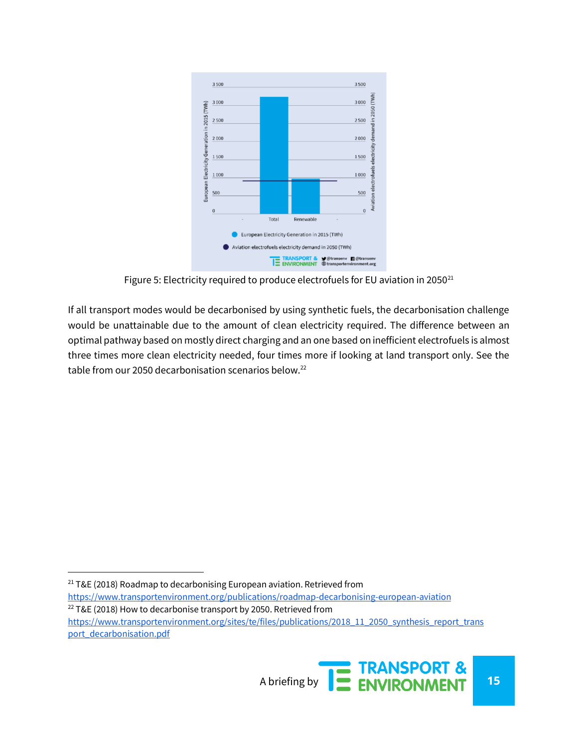

Figure 5: Electricity required to produce electrofuels for EU aviation in 2050 $^{21}$ 

If all transport modes would be decarbonised by using synthetic fuels, the decarbonisation challenge would be unattainable due to the amount of clean electricity required. The difference between an optimal pathway based on mostly direct charging and an one based on inefficient electrofuels is almost three times more clean electricity needed, four times more if looking at land transport only. See the table from our 2050 decarbonisation scenarios below.<sup>22</sup>

<sup>&</sup>lt;sup>21</sup> T&E (2018) Roadmap to decarbonising European aviation. Retrieved from

<https://www.transportenvironment.org/publications/roadmap-decarbonising-european-aviation>  $22$  T&E (2018) How to decarbonise transport by 2050. Retrieved from

[https://www.transportenvironment.org/sites/te/files/publications/2018\\_11\\_2050\\_synthesis\\_report\\_trans](https://www.transportenvironment.org/sites/te/files/publications/2018_11_2050_synthesis_report_transport_decarbonisation.pdf) [port\\_decarbonisation.pdf](https://www.transportenvironment.org/sites/te/files/publications/2018_11_2050_synthesis_report_transport_decarbonisation.pdf)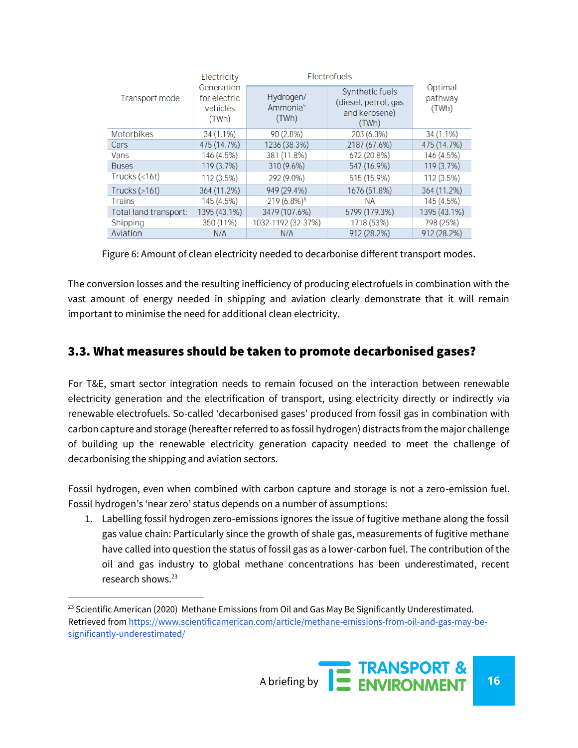| Transport mode        | Electricity<br>Generation<br>for electric<br>vehicles<br>(TWh) | Electrofuels                               |                                                                   |                             |
|-----------------------|----------------------------------------------------------------|--------------------------------------------|-------------------------------------------------------------------|-----------------------------|
|                       |                                                                | Hydrogen/<br>Ammonia <sup>5</sup><br>(TWh) | Synthetic fuels<br>(diesel, petrol, gas<br>and kerosene)<br>(TWh) | Optimal<br>pathway<br>(TWh) |
| <b>Motorbikes</b>     | 34 (1.1%)                                                      | 90(2.8%)                                   | 203 (6.3%)                                                        | $34(1.1\%)$                 |
| Cars                  | 475 (14.7%)                                                    | 1236 (38.3%)                               | 2187 (67.6%)                                                      | 475 (14.7%)                 |
| Vans                  | 146 (4.5%)                                                     | 381 (11.8%)                                | 672 (20.8%)                                                       | 146 (4.5%)                  |
| <b>Buses</b>          | 119 (3.7%)                                                     | 310 (9.6%)                                 | 547 (16.9%)                                                       | 119 (3.7%)                  |
| Trucks $(<16t)$       | $112(3.5\%)$                                                   | 292 (9.0%)                                 | 515 (15.9%)                                                       | 112(3.5%)                   |
| Trucks $($ >16t)      | 364 (11.2%)                                                    | 949 (29.4%)                                | 1676 (51.8%)                                                      | 364 (11.2%)                 |
| <b>Trains</b>         | 145 (4.5%)                                                     | $219(6.8\%)$ <sup>§</sup>                  | <b>NA</b>                                                         | 145 (4.5%)                  |
| Total land transport: | 1395 (43.1%)                                                   | 3479 (107.6%)                              | 5799 (179.3%)                                                     | 1395 (43.1%)                |
| Shipping              | 350 (11%)                                                      | 1032-1192 (32-37%)                         | 1718 (53%)                                                        | 798 (25%)                   |
| Aviation              | N/A                                                            | N/A                                        | 912 (28.2%)                                                       | 912 (28.2%)                 |

Figure 6: Amount of clean electricity needed to decarbonise different transport modes.

The conversion losses and the resulting inefficiency of producing electrofuels in combination with the vast amount of energy needed in shipping and aviation clearly demonstrate that it will remain important to minimise the need for additional clean electricity.

## 3.3. What measures should be taken to promote decarbonised gases?

For T&E, smart sector integration needs to remain focused on the interaction between renewable electricity generation and the electrification of transport, using electricity directly or indirectly via renewable electrofuels. So-called 'decarbonised gases' produced from fossil gas in combination with carbon capture and storage (hereafter referred to as fossil hydrogen) distracts from the major challenge of building up the renewable electricity generation capacity needed to meet the challenge of decarbonising the shipping and aviation sectors.

Fossil hydrogen, even when combined with carbon capture and storage is not a zero-emission fuel. Fossil hydrogen's 'near zero' status depends on a number of assumptions:

1. Labelling fossil hydrogen zero-emissions ignores the issue of fugitive methane along the fossil gas value chain: Particularly since the growth of shale gas, measurements of fugitive methane have called into question the status of fossil gas as a lower-carbon fuel. The contribution of the oil and gas industry to global methane concentrations has been underestimated, recent research shows.<sup>23</sup>

l

 $^{23}$  Scientific American (2020) Methane Emissions from Oil and Gas May Be Significantly Underestimated. Retrieved fro[m https://www.scientificamerican.com/article/methane-emissions-from-oil-and-gas-may-be](https://www.scientificamerican.com/article/methane-emissions-from-oil-and-gas-may-be-significantly-underestimated/)[significantly-underestimated/](https://www.scientificamerican.com/article/methane-emissions-from-oil-and-gas-may-be-significantly-underestimated/)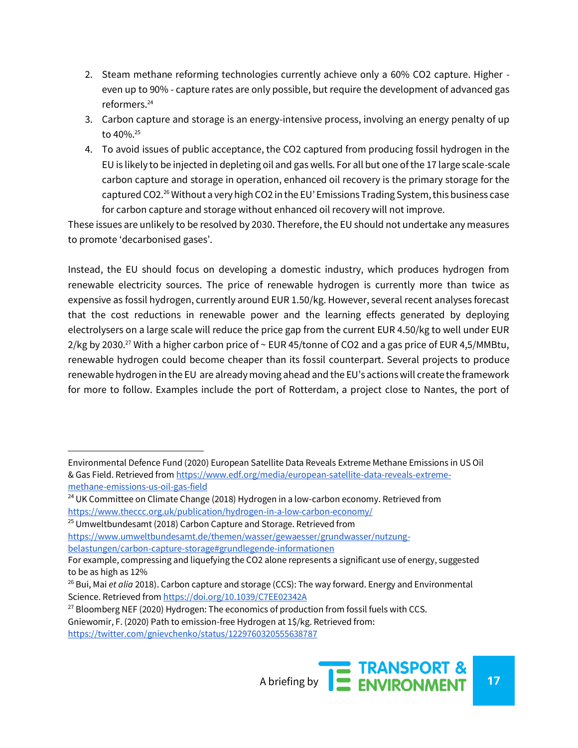- 2. Steam methane reforming technologies currently achieve only a 60% CO2 capture. Higher even up to 90% - capture rates are only possible, but require the development of advanced gas reformers.<sup>24</sup>
- 3. Carbon capture and storage is an energy-intensive process, involving an energy penalty of up to  $40\%$ <sup>25</sup>
- 4. To avoid issues of public acceptance, the CO2 captured from producing fossil hydrogen in the EU is likely to be injected in depleting oil and gas wells. For all but one of the 17 large scale-scale carbon capture and storage in operation, enhanced oil recovery is the primary storage for the captured CO2.<sup>26</sup> Without a very high CO2 in the EU' Emissions Trading System, this business case for carbon capture and storage without enhanced oil recovery will not improve.

These issues are unlikely to be resolved by 2030. Therefore, the EU should not undertake any measures to promote 'decarbonised gases'.

Instead, the EU should focus on developing a domestic industry, which produces hydrogen from renewable electricity sources. The price of renewable hydrogen is currently more than twice as expensive as fossil hydrogen, currently around EUR 1.50/kg. However, several recent analyses forecast that the cost reductions in renewable power and the learning effects generated by deploying electrolysers on a large scale will reduce the price gap from the current EUR 4.50/kg to well under EUR 2/kg by 2030.<sup>27</sup> With a higher carbon price of  $\sim$  EUR 45/tonne of CO2 and a gas price of EUR 4,5/MMBtu, renewable hydrogen could become cheaper than its fossil counterpart. Several projects to produce renewable hydrogen in the EU are already moving ahead and the EU's actions will create the framework for more to follow. Examples include the port of Rotterdam, a project close to Nantes, the port of

<sup>25</sup> Umweltbundesamt (2018) Carbon Capture and Storage. Retrieved from

[https://www.umweltbundesamt.de/themen/wasser/gewaesser/grundwasser/nutzung](https://www.umweltbundesamt.de/themen/wasser/gewaesser/grundwasser/nutzung-belastungen/carbon-capture-storage#grundlegende-informationen)[belastungen/carbon-capture-storage#grundlegende-informationen](https://www.umweltbundesamt.de/themen/wasser/gewaesser/grundwasser/nutzung-belastungen/carbon-capture-storage#grundlegende-informationen)

<sup>27</sup> Bloomberg NEF (2020) Hydrogen: The economics of production from fossil fuels with CCS. Gniewomir, F. (2020) Path to emission-free Hydrogen at 1\$/kg. Retrieved from: <https://twitter.com/gnievchenko/status/1229760320555638787>

Environmental Defence Fund (2020) European Satellite Data Reveals Extreme Methane Emissions in US Oil & Gas Field. Retrieved fro[m https://www.edf.org/media/european-satellite-data-reveals-extreme](https://www.edf.org/media/european-satellite-data-reveals-extreme-methane-emissions-us-oil-gas-field)[methane-emissions-us-oil-gas-field](https://www.edf.org/media/european-satellite-data-reveals-extreme-methane-emissions-us-oil-gas-field)

<sup>&</sup>lt;sup>24</sup> UK Committee on Climate Change (2018) Hydrogen in a low-carbon economy. Retrieved from <https://www.theccc.org.uk/publication/hydrogen-in-a-low-carbon-economy/>

For example, compressing and liquefying the CO2 alone represents a significant use of energy, suggested to be as high as 12%

<sup>26</sup> Bui, Mai *et alia* 2018). Carbon capture and storage (CCS): The way forward. Energy and Environmental Science. Retrieved fro[m https://doi.org/10.1039/C7EE02342A](https://doi.org/10.1039/C7EE02342A)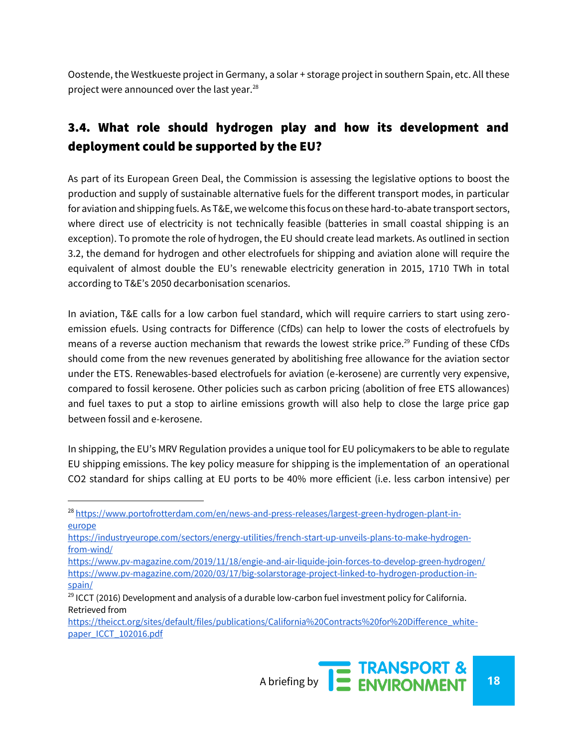Oostende, the Westkueste project in Germany, a solar + storage project in southern Spain, etc. All these project were announced over the last year.<sup>28</sup>

## 3.4. What role should hydrogen play and how its development and deployment could be supported by the EU?

As part of its European Green Deal, the Commission is assessing the legislative options to boost the production and supply of sustainable alternative fuels for the different transport modes, in particular for aviation and shipping fuels. As T&E, we welcome this focus on these hard-to-abate transport sectors, where direct use of electricity is not technically feasible (batteries in small coastal shipping is an exception). To promote the role of hydrogen, the EU should create lead markets. As outlined in section 3.2, the demand for hydrogen and other electrofuels for shipping and aviation alone will require the equivalent of almost double the EU's renewable electricity generation in 2015, 1710 TWh in total according to T&E's 2050 decarbonisation scenarios.

In aviation, T&E calls for a low carbon fuel standard, which will require carriers to start using zeroemission efuels. Using contracts for Difference (CfDs) can help to lower the costs of electrofuels by means of a reverse auction mechanism that rewards the lowest strike price.<sup>29</sup> Funding of these CfDs should come from the new revenues generated by abolitishing free allowance for the aviation sector under the ETS. Renewables-based electrofuels for aviation (e-kerosene) are currently very expensive, compared to fossil kerosene. Other policies such as carbon pricing (abolition of free ETS allowances) and fuel taxes to put a stop to airline emissions growth will also help to close the large price gap between fossil and e-kerosene.

In shipping, the EU's MRV Regulation provides a unique tool for EU policymakers to be able to regulate EU shipping emissions. The key policy measure for shipping is the implementation of an operational CO2 standard for ships calling at EU ports to be 40% more efficient (i.e. less carbon intensive) per

[https://theicct.org/sites/default/files/publications/California%20Contracts%20for%20Difference\\_white](https://theicct.org/sites/default/files/publications/California%20Contracts%20for%20Difference_white-paper_ICCT_102016.pdf)[paper\\_ICCT\\_102016.pdf](https://theicct.org/sites/default/files/publications/California%20Contracts%20for%20Difference_white-paper_ICCT_102016.pdf)



<sup>&</sup>lt;sup>28</sup> [https://www.portofrotterdam.com/en/news-and-press-releases/largest-green-hydrogen-plant-in](https://www.portofrotterdam.com/en/news-and-press-releases/largest-green-hydrogen-plant-in-europe)[europe](https://www.portofrotterdam.com/en/news-and-press-releases/largest-green-hydrogen-plant-in-europe)

[https://industryeurope.com/sectors/energy-utilities/french-start-up-unveils-plans-to-make-hydrogen](https://industryeurope.com/sectors/energy-utilities/french-start-up-unveils-plans-to-make-hydrogen-from-wind/)[from-wind/](https://industryeurope.com/sectors/energy-utilities/french-start-up-unveils-plans-to-make-hydrogen-from-wind/)

<https://www.pv-magazine.com/2019/11/18/engie-and-air-liquide-join-forces-to-develop-green-hydrogen/> [https://www.pv-magazine.com/2020/03/17/big-solarstorage-project-linked-to-hydrogen-production-in](https://www.pv-magazine.com/2020/03/17/big-solarstorage-project-linked-to-hydrogen-production-in-spain/)[spain/](https://www.pv-magazine.com/2020/03/17/big-solarstorage-project-linked-to-hydrogen-production-in-spain/)

<sup>&</sup>lt;sup>29</sup> ICCT (2016) Development and analysis of a durable low-carbon fuel investment policy for California. Retrieved from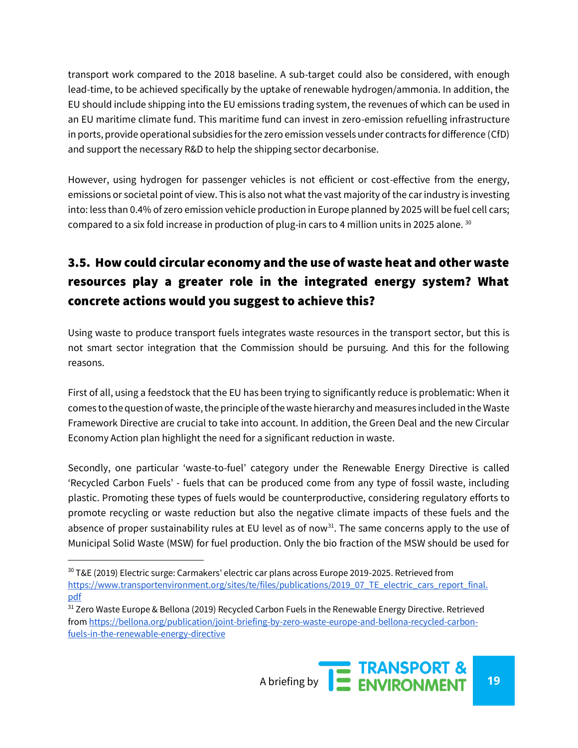transport work compared to the 2018 baseline. A sub-target could also be considered, with enough lead-time, to be achieved specifically by the uptake of renewable hydrogen/ammonia. In addition, the EU should include shipping into the EU emissions trading system, the revenues of which can be used in an EU maritime climate fund. This maritime fund can invest in zero-emission refuelling infrastructure in ports, provide operational subsidies for the zero emission vessels under contracts for difference (CfD) and support the necessary R&D to help the shipping sector decarbonise.

However, using hydrogen for passenger vehicles is not efficient or cost-effective from the energy, emissions or societal point of view. This is also not what the vast majority of the car industry is investing into: less than 0.4% of zero emission vehicle production in Europe planned by 2025 will be fuel cell cars; compared to a six fold increase in production of plug-in cars to 4 million units in 2025 alone. <sup>30</sup>

# 3.5. How could circular economy and the use of waste heat and other waste resources play a greater role in the integrated energy system? What concrete actions would you suggest to achieve this?

Using waste to produce transport fuels integrates waste resources in the transport sector, but this is not smart sector integration that the Commission should be pursuing. And this for the following reasons.

First of all, using a feedstock that the EU has been trying to significantly reduce is problematic: When it comes to the question of waste, the principle of the waste hierarchy and measures included in the Waste Framework Directive are crucial to take into account. In addition, the Green Deal and the new Circular Economy Action plan highlight the need for a significant reduction in waste.

Secondly, one particular 'waste-to-fuel' category under the Renewable Energy Directive is called 'Recycled Carbon Fuels' - fuels that can be produced come from any type of fossil waste, including plastic. Promoting these types of fuels would be counterproductive, considering regulatory efforts to promote recycling or waste reduction but also the negative climate impacts of these fuels and the absence of proper sustainability rules at EU level as of now<sup>31</sup>. The same concerns apply to the use of Municipal Solid Waste (MSW) for fuel production. Only the bio fraction of the MSW should be used for

 $30$  T&E (2019) Electric surge: Carmakers' electric car plans across Europe 2019-2025. Retrieved from [https://www.transportenvironment.org/sites/te/files/publications/2019\\_07\\_TE\\_electric\\_cars\\_report\\_final.](https://www.transportenvironment.org/sites/te/files/publications/2019_07_TE_electric_cars_report_final.pdf) [pdf](https://www.transportenvironment.org/sites/te/files/publications/2019_07_TE_electric_cars_report_final.pdf)

<sup>&</sup>lt;sup>31</sup> Zero Waste Europe & Bellona (2019) Recycled Carbon Fuels in the Renewable Energy Directive. Retrieved fro[m https://bellona.org/publication/joint-briefing-by-zero-waste-europe-and-bellona-recycled-carbon](https://bellona.org/publication/joint-briefing-by-zero-waste-europe-and-bellona-recycled-carbon-fuels-in-the-renewable-energy-directive)[fuels-in-the-renewable-energy-directive](https://bellona.org/publication/joint-briefing-by-zero-waste-europe-and-bellona-recycled-carbon-fuels-in-the-renewable-energy-directive)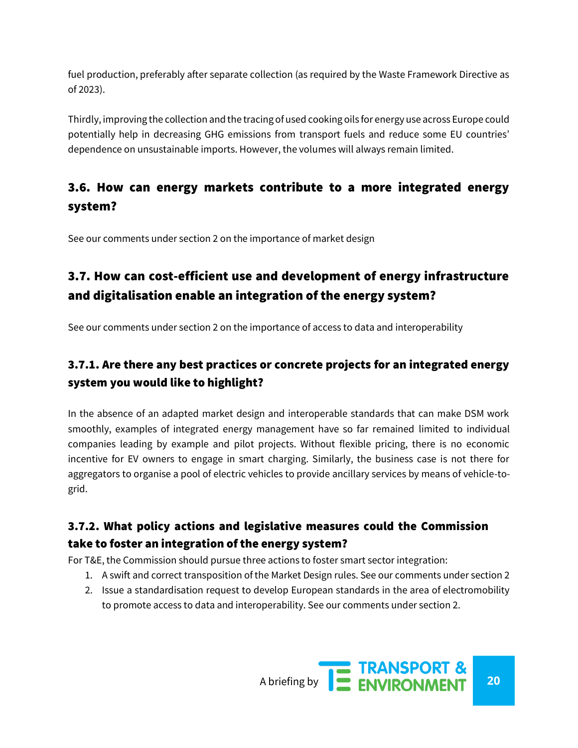fuel production, preferably after separate collection (as required by the Waste Framework Directive as of 2023).

Thirdly, improving the collection and the tracing of used cooking oils for energy use across Europe could potentially help in decreasing GHG emissions from transport fuels and reduce some EU countries' dependence on unsustainable imports. However, the volumes will always remain limited.

## 3.6. How can energy markets contribute to a more integrated energy system?

See our comments under section 2 on the importance of market design

# 3.7. How can cost-efficient use and development of energy infrastructure and digitalisation enable an integration of the energy system?

See our comments under section 2 on the importance of access to data and interoperability

## 3.7.1. Are there any best practices or concrete projects for an integrated energy system you would like to highlight?

In the absence of an adapted market design and interoperable standards that can make DSM work smoothly, examples of integrated energy management have so far remained limited to individual companies leading by example and pilot projects. Without flexible pricing, there is no economic incentive for EV owners to engage in smart charging. Similarly, the business case is not there for aggregators to organise a pool of electric vehicles to provide ancillary services by means of vehicle-togrid.

## 3.7.2. What policy actions and legislative measures could the Commission take to foster an integration of the energy system?

For T&E, the Commission should pursue three actions to foster smart sector integration:

- 1. A swift and correct transposition of the Market Design rules. See our comments under section 2
- 2. Issue a standardisation request to develop European standards in the area of electromobility to promote access to data and interoperability. See our comments under section 2.